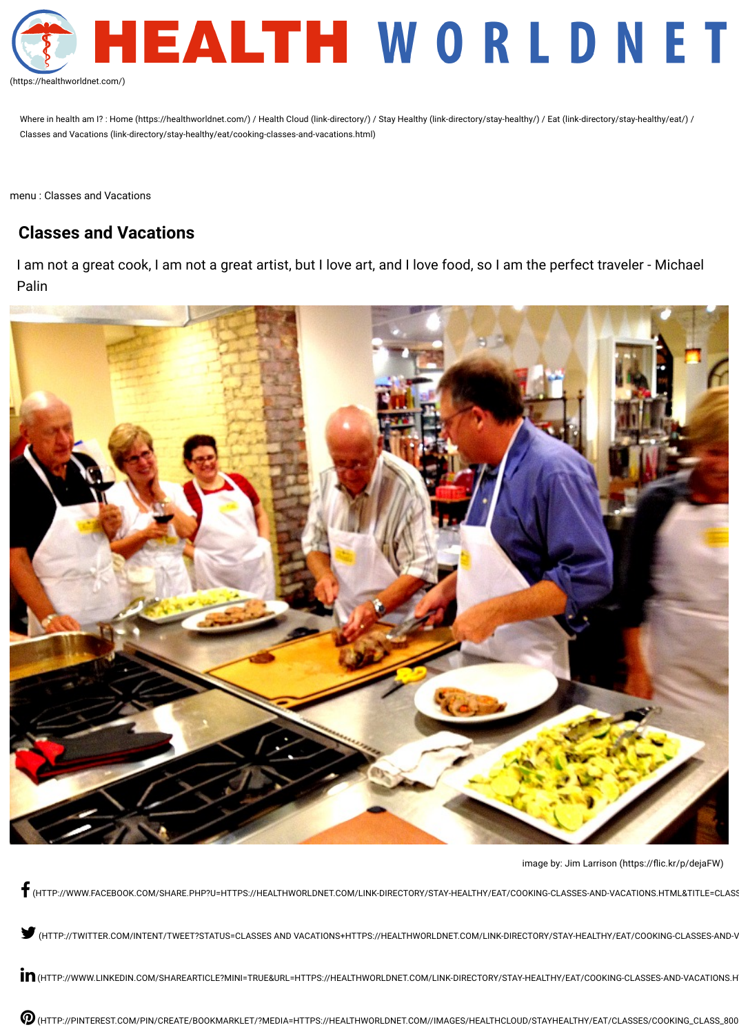Where in health am I?: [Home \(https://healthworldnet.com/\)](https://healthworldnet.com/) / [Health Cloud \(link-directory/\)](https://healthworldnet.com/link-directory/) / [Stay Healthy \(link-directory/stay-healthy/\)](https://healthworldnet.com/link-directory/stay-healthy/) / [Eat \(link-directory/stay-healthy/eat/\)](https://healthworldnet.com/link-directory/stay-healthy/eat/) / [Classes and Vacations \(link-directory/stay-healthy/eat/cooking-classes-and-vacations.html\)](https://healthworldnet.com/link-directory/stay-healthy/eat/cooking-classes-and-vacations.html)



[\(https://healthworldnet.com/\)](https://healthworldnet.com/)

menu : Classes and Vacations

# **Classes and Vacations**

I am not a great cook, I am not a great artist, but I love art, and I love food, so I am the perfect traveler - Michael Palin



image by: Jim Larrison (https://flic.kr/p/dejaFW)

![\(HTTP://WWW.FACEBOOK.COM/SHARE.PHP?U=HTTPS://HEALTHWORLDNET.COM/LINK-DIRECTORY/STAY-HEALTHY/EAT/COOKING-CLASSES-AND-VACATIONS.HTML&TITLE=CLASS](http://www.facebook.com/share.php?u=https://healthworldnet.com/link-directory/stay-healthy/eat/cooking-classes-and-vacations.html&title=Classes%20and%20Vacations)ES AND VACATIONS)

"[\(HTTP://TWITTER.COM/INTENT/TWEET?STATUS=CLASSES AND VACATIONS+HTTPS://HEALTHWORLDNET.COM/LINK-DIRECTORY/STAY-HEALTHY/EAT/COOKING-CLASSES-AND-V](http://twitter.com/intent/tweet?status=Classes%20and%20Vacations+https://healthworldnet.com/link-directory/stay-healthy/eat/cooking-classes-and-vacations.html)ACATIONS.HTML)

 $\mathop{\mathop{\rm im}}$  [\(HTTP://WWW.LINKEDIN.COM/SHAREARTICLE?MINI=TRUE&URL=HTTPS://HEALTHWORLDNET.COM/LINK-DIRECTORY/STAY-HEALTHY/EAT/COOKING-CLASSES-AND-VACATIONS.H](http://www.linkedin.com/shareArticle?mini=true&url=https://healthworldnet.com/link-directory/stay-healthy/eat/cooking-classes-and-vacations.html&title=Classes%20and%20Vacations&source=https://healthworldnet.com/)

[\(HTTP://PINTEREST.COM/PIN/CREATE/BOOKMARKLET/?MEDIA=HTTPS://HEALTHWORLDNET.COM//IMAGES/HEALTHCLOUD/STAYHEALTHY/EAT/CLASSES/COOKING\\_CLASS\\_800](http://pinterest.com/pin/create/bookmarklet/?media=https://healthworldnet.com//images/HealthCloud/StayHealthy/Eat/Classes/cooking_class_800.jpg&url=https://healthworldnet.com/link-directory/stay-healthy/eat/cooking-classes-and-vacations.html&is_video=false&description=Classes%20and%20Vacations)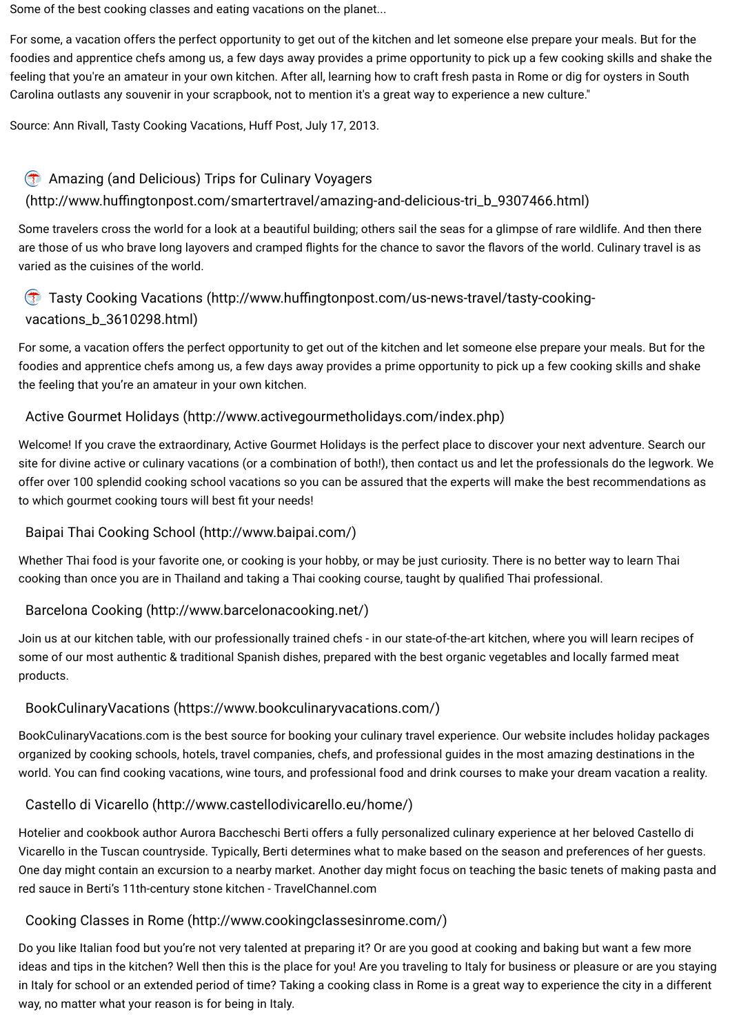Some of the best cooking classes and eating vacations on the planet...

For some, a vacation offers the perfect opportunity to get out of the kitchen and let someone else prepare your meals. But for the foodies and apprentice chefs among us, a few days away provides a prime opportunity to pick up a few cooking skills and shake the feeling that you're an amateur in your own kitchen. After all, learning how to craft fresh pasta in Rome or dig for oysters in South Carolina outlasts any souvenir in your scrapbook, not to mention it's a great way to experience a new culture."

#### Amazing (and Delicious) Trips for Culinary Voyagers  $\overline{C}$

# (http://www.huffingtonpost.com/smartertravel/amazing-and-delicious-tri\_b\_9307466.html)

# Tasty Cooking Vacations (http://www.huffingtonpost.com/us-news-travel/tasty-cookingvacations\_b\_3610298.html)

Source: Ann Rivall, Tasty Cooking Vacations, Huff Post, July 17, 2013.

Welcome! If you crave the extraordinary, Active Gourmet Holidays is the perfect place to discover your next adventure. Search our site for divine active or culinary vacations (or a combination of both!), then contact us and let the professionals do the legwork. We offer over 100 splendid cooking school vacations so you can be assured that the experts will make the best recommendations as to which gourmet cooking tours will best fit your needs!

Some travelers cross the world for a look at a beautiful building; others sail the seas for a glimpse of rare wildlife. And then there are those of us who brave long layovers and cramped flights for the chance to savor the flavors of the world. Culinary travel is as varied as the cuisines of the world.

Whether Thai food is your favorite one, or cooking is your hobby, or may be just curiosity. There is no better way to learn Thai cooking than once you are in Thailand and taking a Thai cooking course, taught by qualified Thai professional.

For some, a vacation offers the perfect opportunity to get out of the kitchen and let someone else prepare your meals. But for the foodies and apprentice chefs among us, a few days away provides a prime opportunity to pick up a few cooking skills and shake the feeling that you're an amateur in your own kitchen.

BookCulinaryVacations.com is the best source for booking your culinary travel experience. Our website includes holiday packages organized by cooking schools, hotels, travel companies, chefs, and professional guides in the most amazing destinations in the world. You can find cooking vacations, wine tours, and professional food and drink courses to make your dream vacation a reality.

# [Active Gourmet Holidays \(http://www.activegourmetholidays.com/index.php\)](http://www.activegourmetholidays.com/index.php)

# [Baipai Thai Cooking School \(http://www.baipai.com/\)](http://www.baipai.com/)

#### [Barcelona Cooking \(http://www.barcelonacooking.net/\)](http://www.barcelonacooking.net/)

Join us at our kitchen table, with our professionally trained chefs - in our state-of-the-art kitchen, where you will learn recipes of some of our most authentic & traditional Spanish dishes, prepared with the best organic vegetables and locally farmed meat products.

## [BookCulinaryVacations \(https://www.bookculinaryvacations.com/\)](https://www.bookculinaryvacations.com/)

#### [Castello di Vicarello \(http://www.castellodivicarello.eu/home/\)](http://www.castellodivicarello.eu/home/)

Hotelier and cookbook author Aurora Baccheschi Berti offers a fully personalized culinary experience at her beloved Castello di Vicarello in the Tuscan countryside. Typically, Berti determines what to make based on the season and preferences of her guests. One day might contain an excursion to a nearby market. Another day might focus on teaching the basic tenets of making pasta and red sauce in Berti's 11th-century stone kitchen - TravelChannel.com

#### [Cooking Classes in Rome \(http://www.cookingclassesinrome.com/\)](http://www.cookingclassesinrome.com/)

Do you like Italian food but you're not very talented at preparing it? Or are you good at cooking and baking but want a few more ideas and tips in the kitchen? Well then this is the place for you! Are you traveling to Italy for business or pleasure or are you staying in Italy for school or an extended period of time? Taking a cooking class in Rome is a great way to experience the city in a different way, no matter what your reason is for being in Italy.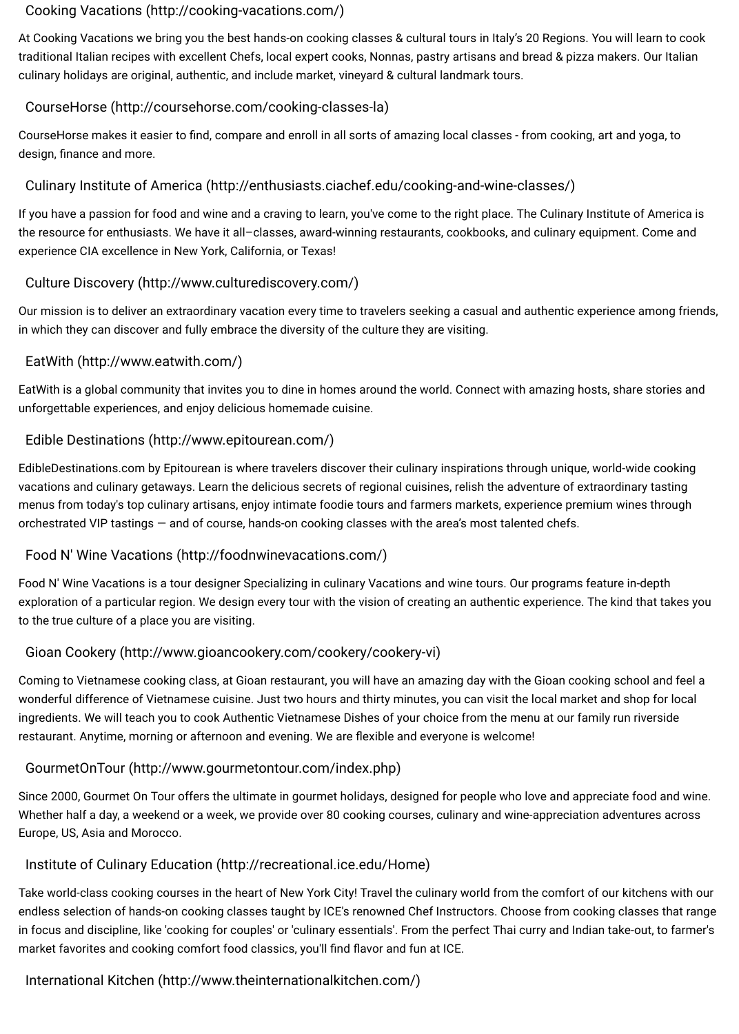## [Cooking Vacations \(http://cooking-vacations.com/\)](http://cooking-vacations.com/)

At Cooking Vacations we bring you the best hands-on cooking classes & cultural tours in Italy's 20 Regions. You will learn to cook traditional Italian recipes with excellent Chefs, local expert cooks, Nonnas, pastry artisans and bread & pizza makers. Our Italian culinary holidays are original, authentic, and include market, vineyard & cultural landmark tours.

# [CourseHorse \(http://coursehorse.com/cooking-classes-la\)](http://coursehorse.com/cooking-classes-la)

CourseHorse makes it easier to find, compare and enroll in all sorts of amazing local classes - from cooking, art and yoga, to design, finance and more.

# [Culinary Institute of America \(http://enthusiasts.ciachef.edu/cooking-and-wine-classes/\)](http://enthusiasts.ciachef.edu/cooking-and-wine-classes/)

If you have a passion for food and wine and a craving to learn, you've come to the right place. The Culinary Institute of America is the resource for enthusiasts. We have it all–classes, award-winning restaurants, cookbooks, and culinary equipment. Come and experience CIA excellence in New York, California, or Texas!

# [Culture Discovery \(http://www.culturediscovery.com/\)](http://www.culturediscovery.com/)

Our mission is to deliver an extraordinary vacation every time to travelers seeking a casual and authentic experience among friends, in which they can discover and fully embrace the diversity of the culture they are visiting.

Coming to Vietnamese cooking class, at Gioan restaurant, you will have an amazing day with the Gioan cooking school and feel a wonderful difference of Vietnamese cuisine. Just two hours and thirty minutes, you can visit the local market and shop for local ingredients. We will teach you to cook Authentic Vietnamese Dishes of your choice from the menu at our family run riverside restaurant. Anytime, morning or afternoon and evening. We are flexible and everyone is welcome!

# [EatWith \(http://www.eatwith.com/\)](http://www.eatwith.com/)

EatWith is a global community that invites you to dine in homes around the world. Connect with amazing hosts, share stories and unforgettable experiences, and enjoy delicious homemade cuisine.

# [Edible Destinations \(http://www.epitourean.com/\)](http://www.epitourean.com/)

Take world-class cooking courses in the heart of New York City! Travel the culinary world from the comfort of our kitchens with our endless selection of hands-on cooking classes taught by ICE's renowned Chef Instructors. Choose from cooking classes that range in focus and discipline, like 'cooking for couples' or 'culinary essentials'. From the perfect Thai curry and Indian take-out, to farmer's market favorites and cooking comfort food classics, you'll find flavor and fun at ICE.

EdibleDestinations.com by Epitourean is where travelers discover their culinary inspirations through unique, world-wide cooking vacations and culinary getaways. Learn the delicious secrets of regional cuisines, relish the adventure of extraordinary tasting menus from today's top culinary artisans, enjoy intimate foodie tours and farmers markets, experience premium wines through orchestrated VIP tastings — and of course, hands-on cooking classes with the area's most talented chefs.

# [Food N' Wine Vacations \(http://foodnwinevacations.com/\)](http://foodnwinevacations.com/)

Food N' Wine Vacations is a tour designer Specializing in culinary Vacations and wine tours. Our programs feature in-depth

exploration of a particular region. We design every tour with the vision of creating an authentic experience. The kind that takes you to the true culture of a place you are visiting.

# [Gioan Cookery \(http://www.gioancookery.com/cookery/cookery-vi\)](http://www.gioancookery.com/cookery/cookery-vi)

#### [GourmetOnTour \(http://www.gourmetontour.com/index.php\)](http://www.gourmetontour.com/index.php)

Since 2000, Gourmet On Tour offers the ultimate in gourmet holidays, designed for people who love and appreciate food and wine. Whether half a day, a weekend or a week, we provide over 80 cooking courses, culinary and wine-appreciation adventures across Europe, US, Asia and Morocco.

#### [Institute of Culinary Education \(http://recreational.ice.edu/Home\)](http://recreational.ice.edu/Home)

#### [International Kitchen \(http://www.theinternationalkitchen.com/\)](http://www.theinternationalkitchen.com/)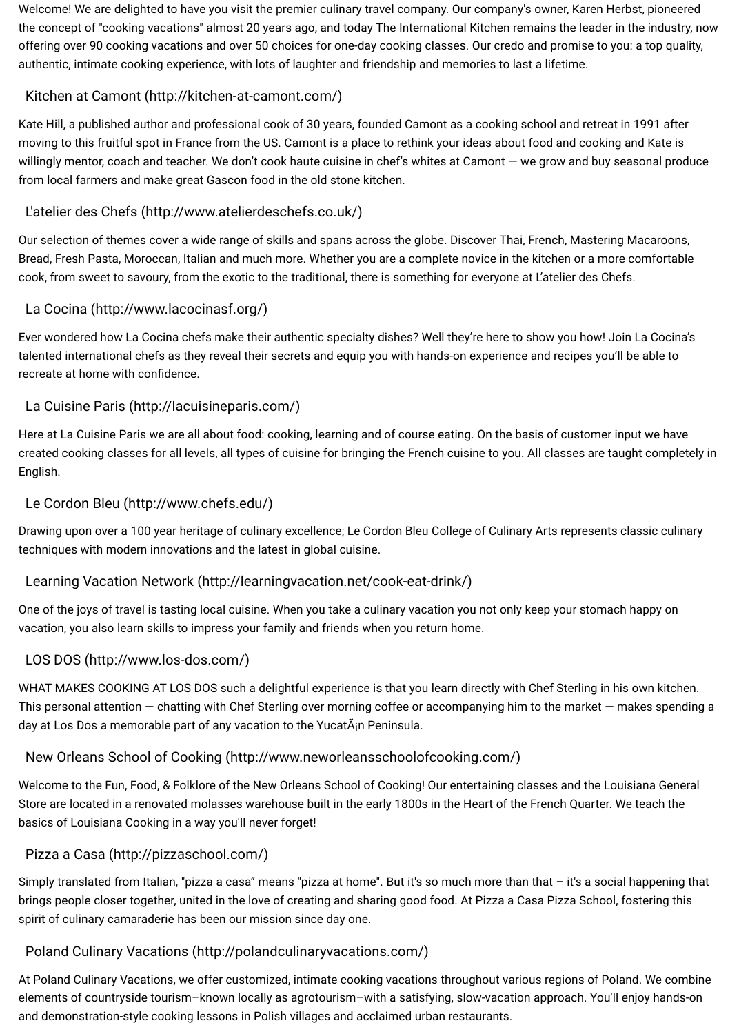Welcome! We are delighted to have you visit the premier culinary travel company. Our company's owner, Karen Herbst, pioneered the concept of "cooking vacations" almost 20 years ago, and today The International Kitchen remains the leader in the industry, now offering over 90 cooking vacations and over 50 choices for one-day cooking classes. Our credo and promise to you: a top quality, authentic, intimate cooking experience, with lots of laughter and friendship and memories to last a lifetime.

# [Kitchen at Camont \(http://kitchen-at-camont.com/\)](http://kitchen-at-camont.com/)

Ever wondered how La Cocina chefs make their authentic specialty dishes? Well they're here to show you how! Join La Cocina's talented international chefs as they reveal their secrets and equip you with hands-on experience and recipes you'll be able to recreate at home with confidence.

Kate Hill, a published author and professional cook of 30 years, founded Camont as a cooking school and retreat in 1991 after moving to this fruitful spot in France from the US. Camont is a place to rethink your ideas about food and cooking and Kate is willingly mentor, coach and teacher. We don't cook haute cuisine in chef's whites at Camont — we grow and buy seasonal produce from local farmers and make great Gascon food in the old stone kitchen.

# [L'atelier des Chefs \(http://www.atelierdeschefs.co.uk/\)](http://www.atelierdeschefs.co.uk/)

Our selection of themes cover a wide range of skills and spans across the globe. Discover Thai, French, Mastering Macaroons, Bread, Fresh Pasta, Moroccan, Italian and much more. Whether you are a complete novice in the kitchen or a more comfortable cook, from sweet to savoury, from the exotic to the traditional, there is something for everyone at L'atelier des Chefs.

WHAT MAKES COOKING AT LOS DOS such a delightful experience is that you learn directly with Chef Sterling in his own kitchen. This personal attention — chatting with Chef Sterling over morning coffee or accompanying him to the market — makes spending a day at Los Dos a memorable part of any vacation to the YucatAin Peninsula.

# [La Cocina \(http://www.lacocinasf.org/\)](http://www.lacocinasf.org/)

# [La Cuisine Paris \(http://lacuisineparis.com/\)](http://lacuisineparis.com/)

Here at La Cuisine Paris we are all about food: cooking, learning and of course eating. On the basis of customer input we have created cooking classes for all levels, all types of cuisine for bringing the French cuisine to you. All classes are taught completely in English.

# [Le Cordon Bleu \(http://www.chefs.edu/\)](http://www.chefs.edu/)

Drawing upon over a 100 year heritage of culinary excellence; Le Cordon Bleu College of Culinary Arts represents classic culinary techniques with modern innovations and the latest in global cuisine.

# [Learning Vacation Network \(http://learningvacation.net/cook-eat-drink/\)](http://learningvacation.net/cook-eat-drink/)

One of the joys of travel is tasting local cuisine. When you take a culinary vacation you not only keep your stomach happy on vacation, you also learn skills to impress your family and friends when you return home.

#### [LOS DOS \(http://www.los-dos.com/\)](http://www.los-dos.com/)

#### [New Orleans School of Cooking \(http://www.neworleansschoolofcooking.com/\)](http://www.neworleansschoolofcooking.com/)

Welcome to the Fun, Food, & Folklore of the New Orleans School of Cooking! Our entertaining classes and the Louisiana General Store are located in a renovated molasses warehouse built in the early 1800s in the Heart of the French Quarter. We teach the basics of Louisiana Cooking in a way you'll never forget!

#### [Pizza a Casa \(http://pizzaschool.com/\)](http://pizzaschool.com/)

Simply translated from Italian, "pizza a casa" means "pizza at home". But it's so much more than that – it's a social happening that brings people closer together, united in the love of creating and sharing good food. At Pizza a Casa Pizza School, fostering this spirit of culinary camaraderie has been our mission since day one.

#### [Poland Culinary Vacations \(http://polandculinaryvacations.com/\)](http://polandculinaryvacations.com/)

At Poland Culinary Vacations, we offer customized, intimate cooking vacations throughout various regions of Poland. We combine elements of countryside tourism–known locally as agrotourism–with a satisfying, slow-vacation approach. You'll enjoy hands-on and demonstration-style cooking lessons in Polish villages and acclaimed urban restaurants.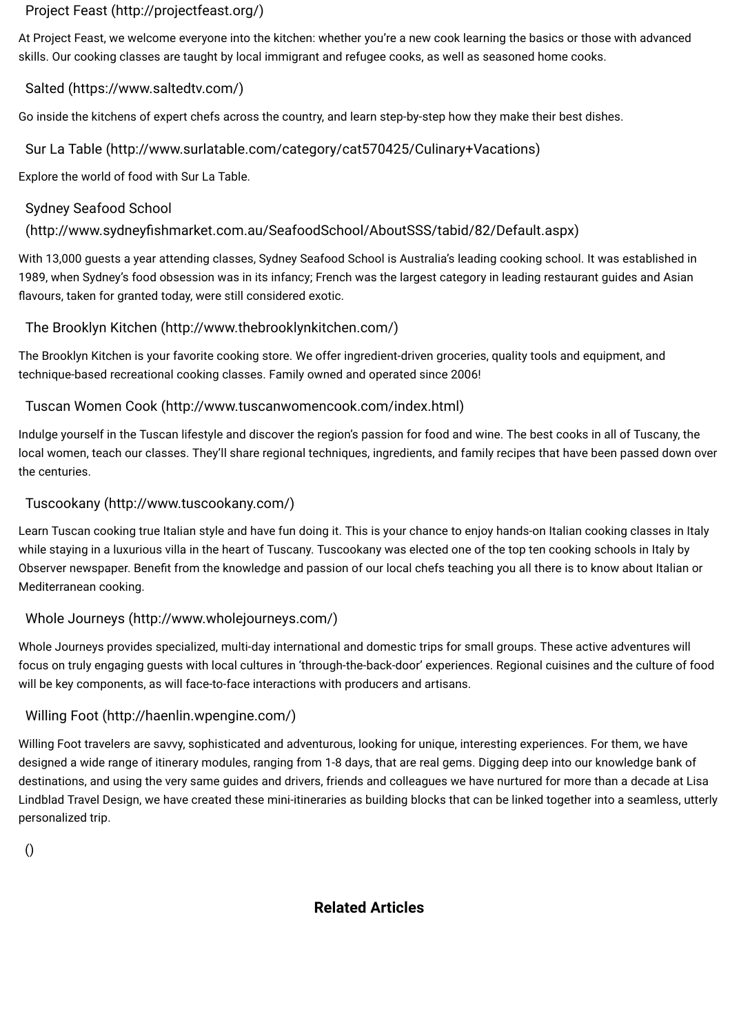**Related Articles**

# [Project Feast \(http://projectfeast.org/\)](http://projectfeast.org/)

At Project Feast, we welcome everyone into the kitchen: whether you're a new cook learning the basics or those with advanced skills. Our cooking classes are taught by local immigrant and refugee cooks, as well as seasoned home cooks.

# [Salted \(https://www.saltedtv.com/\)](https://www.saltedtv.com/)

With 13,000 guests a year attending classes, Sydney Seafood School is Australia's leading cooking school. It was established in 1989, when Sydney's food obsession was in its infancy; French was the largest category in leading restaurant guides and Asian flavours, taken for granted today, were still considered exotic.

Go inside the kitchens of expert chefs across the country, and learn step-by-step how they make their best dishes.

## [Sur La Table \(http://www.surlatable.com/category/cat570425/Culinary+Vacations\)](http://www.surlatable.com/category/cat570425/Culinary+Vacations)

Explore the world of food with Sur La Table.

# Sydney Seafood School

# (http://www.sydneyfishmarket.com.au/SeafoodSchool/AboutSSS/tabid/82/Default.aspx)

# [The Brooklyn Kitchen \(http://www.thebrooklynkitchen.com/\)](http://www.thebrooklynkitchen.com/)

The Brooklyn Kitchen is your favorite cooking store. We offer ingredient-driven groceries, quality tools and equipment, and technique-based recreational cooking classes. Family owned and operated since 2006!

# [Tuscan Women Cook \(http://www.tuscanwomencook.com/index.html\)](http://www.tuscanwomencook.com/index.html)

Indulge yourself in the Tuscan lifestyle and discover the region's passion for food and wine. The best cooks in all of Tuscany, the local women, teach our classes. They'll share regional techniques, ingredients, and family recipes that have been passed down over the centuries.

# [Tuscookany \(http://www.tuscookany.com/\)](http://www.tuscookany.com/)

Learn Tuscan cooking true Italian style and have fun doing it. This is your chance to enjoy hands-on Italian cooking classes in Italy while staying in a luxurious villa in the heart of Tuscany. Tuscookany was elected one of the top ten cooking schools in Italy by Observer newspaper. Benefit from the knowledge and passion of our local chefs teaching you all there is to know about Italian or Mediterranean cooking.

#### [Whole Journeys \(http://www.wholejourneys.com/\)](http://www.wholejourneys.com/)

Whole Journeys provides specialized, multi-day international and domestic trips for small groups. These active adventures will focus on truly engaging guests with local cultures in 'through-the-back-door' experiences. Regional cuisines and the culture of food will be key components, as will face-to-face interactions with producers and artisans.

# [Willing Foot \(http://haenlin.wpengine.com/\)](http://haenlin.wpengine.com/)

Willing Foot travelers are savvy, sophisticated and adventurous, looking for unique, interesting experiences. For them, we have designed a wide range of itinerary modules, ranging from 1-8 days, that are real gems. Digging deep into our knowledge bank of destinations, and using the very same guides and drivers, friends and colleagues we have nurtured for more than a decade at Lisa Lindblad Travel Design, we have created these mini-itineraries as building blocks that can be linked together into a seamless, utterly personalized trip.

[\(\)](https://healthworldnet.com/)